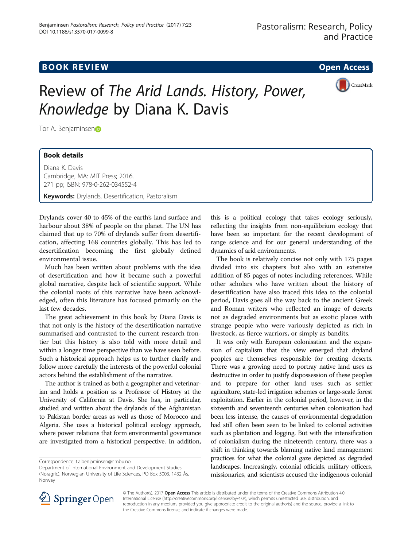## **BOOK REVIEW CONTROL** BOOK REVIEW

CrossMark

# Review of The Arid Lands. History, Power, Knowledge by Diana K. Davis

Tor A. Be[n](http://orcid.org/0000-0003-0192-833X)jaminsen

## Book details

Diana K. Davis Cambridge, MA: MIT Press; 2016. 271 pp; ISBN: 978-0-262-034552-4

Keywords: Drylands, Desertification, Pastoralism

Drylands cover 40 to 45% of the earth's land surface and harbour about 38% of people on the planet. The UN has claimed that up to 70% of drylands suffer from desertification, affecting 168 countries globally. This has led to desertification becoming the first globally defined environmental issue.

Much has been written about problems with the idea of desertification and how it became such a powerful global narrative, despite lack of scientific support. While the colonial roots of this narrative have been acknowledged, often this literature has focused primarily on the last few decades.

The great achievement in this book by Diana Davis is that not only is the history of the desertification narrative summarised and contrasted to the current research frontier but this history is also told with more detail and within a longer time perspective than we have seen before. Such a historical approach helps us to further clarify and follow more carefully the interests of the powerful colonial actors behind the establishment of the narrative.

The author is trained as both a geographer and veterinarian and holds a position as a Professor of History at the University of California at Davis. She has, in particular, studied and written about the drylands of the Afghanistan to Pakistan border areas as well as those of Morocco and Algeria. She uses a historical political ecology approach, where power relations that form environmental governance are investigated from a historical perspective. In addition, this is a political ecology that takes ecology seriously, reflecting the insights from non-equilibrium ecology that have been so important for the recent development of range science and for our general understanding of the dynamics of arid environments.

The book is relatively concise not only with 175 pages divided into six chapters but also with an extensive addition of 85 pages of notes including references. While other scholars who have written about the history of desertification have also traced this idea to the colonial period, Davis goes all the way back to the ancient Greek and Roman writers who reflected an image of deserts not as degraded environments but as exotic places with strange people who were variously depicted as rich in livestock, as fierce warriors, or simply as bandits.

It was only with European colonisation and the expansion of capitalism that the view emerged that dryland peoples are themselves responsible for creating deserts. There was a growing need to portray native land uses as destructive in order to justify dispossession of these peoples and to prepare for other land uses such as settler agriculture, state-led irrigation schemes or large-scale forest exploitation. Earlier in the colonial period, however, in the sixteenth and seventeenth centuries when colonisation had been less intense, the causes of environmental degradation had still often been seen to be linked to colonial activities such as plantation and logging. But with the intensification of colonialism during the nineteenth century, there was a shift in thinking towards blaming native land management practices for what the colonial gaze depicted as degraded landscapes. Increasingly, colonial officials, military officers, missionaries, and scientists accused the indigenous colonial



© The Author(s). 2017 Open Access This article is distributed under the terms of the Creative Commons Attribution 4.0 International License ([http://creativecommons.org/licenses/by/4.0/\)](http://creativecommons.org/licenses/by/4.0/), which permits unrestricted use, distribution, and reproduction in any medium, provided you give appropriate credit to the original author(s) and the source, provide a link to the Creative Commons license, and indicate if changes were made.

Correspondence: [t.a.benjaminsen@nmbu.no](mailto:t.a.benjaminsen@nmbu.no)

Department of International Environment and Development Studies (Noragric), Norwegian University of Life Sciences, PO Box 5003, 1432 Ås, Norway